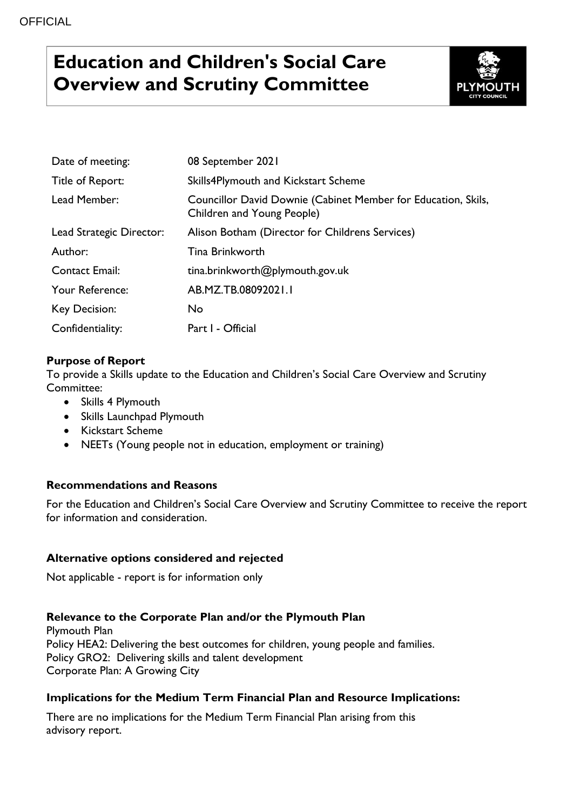# **Education and Children's Social Care Overview and Scrutiny Committee**



| Date of meeting:                                                                                            | 08 September 2021                               |  |  |  |  |
|-------------------------------------------------------------------------------------------------------------|-------------------------------------------------|--|--|--|--|
| Title of Report:                                                                                            | Skills4Plymouth and Kickstart Scheme            |  |  |  |  |
| Lead Member:<br>Councillor David Downie (Cabinet Member for Education, Skils,<br>Children and Young People) |                                                 |  |  |  |  |
| Lead Strategic Director:                                                                                    | Alison Botham (Director for Childrens Services) |  |  |  |  |
| Author:                                                                                                     | <b>Tina Brinkworth</b>                          |  |  |  |  |
| <b>Contact Email:</b>                                                                                       | tina.brinkworth@plymouth.gov.uk                 |  |  |  |  |
| Your Reference:                                                                                             | AB.MZ.TB.08092021.1                             |  |  |  |  |
| Key Decision:                                                                                               | No                                              |  |  |  |  |
| Confidentiality:                                                                                            | Part I - Official                               |  |  |  |  |

# **Purpose of Report**

To provide a Skills update to the Education and Children's Social Care Overview and Scrutiny Committee:

- Skills 4 Plymouth
- Skills Launchpad Plymouth
- Kickstart Scheme
- NEETs (Young people not in education, employment or training)

# **Recommendations and Reasons**

For the Education and Children's Social Care Overview and Scrutiny Committee to receive the report for information and consideration.

### **Alternative options considered and rejected**

Not applicable - report is for information only

### **Relevance to the Corporate Plan and/or the Plymouth Plan**

Plymouth Plan Policy HEA2: Delivering the best outcomes for children, young people and families. Policy GRO2: Delivering skills and talent development Corporate Plan: A Growing City

### **Implications for the Medium Term Financial Plan and Resource Implications:**

There are no implications for the Medium Term Financial Plan arising from this advisory report.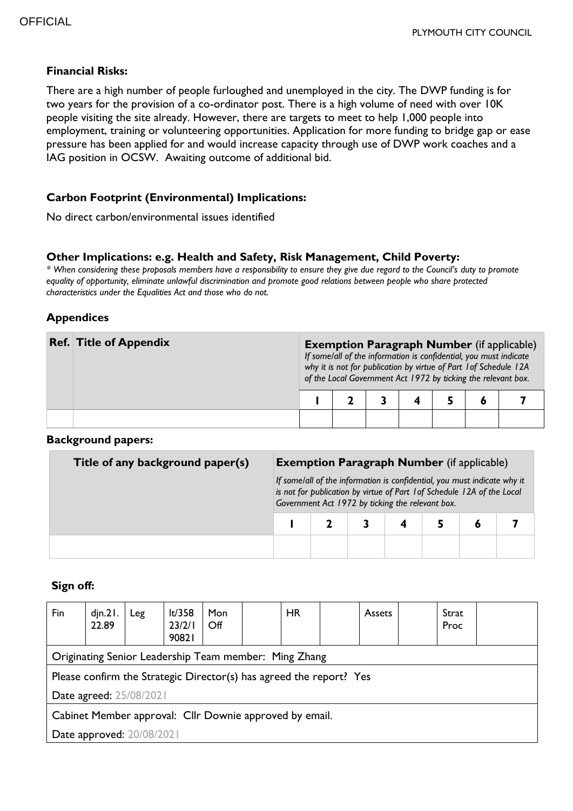#### **Financial Risks:**

There are a high number of people furloughed and unemployed in the city. The DWP funding is for two years for the provision of a co-ordinator post. There is a high volume of need with over 10K people visiting the site already. However, there are targets to meet to help 1,000 people into employment, training or volunteering opportunities. Application for more funding to bridge gap or ease pressure has been applied for and would increase capacity through use of DWP work coaches and a IAG position in OCSW. Awaiting outcome of additional bid.

### **Carbon Footprint (Environmental) Implications:**

No direct carbon/environmental issues identified

#### **Other Implications: e.g. Health and Safety, Risk Management, Child Poverty:**

*\* When considering these proposals members have a responsibility to ensure they give due regard to the Council's duty to promote equality of opportunity, eliminate unlawful discrimination and promote good relations between people who share protected characteristics under the Equalities Act and those who do not.*

#### **Appendices**

| <b>Ref. Title of Appendix</b> | <b>Exemption Paragraph Number</b> (if applicable)<br>If some/all of the information is confidential, you must indicate<br>why it is not for publication by virtue of Part 1 of Schedule 12A<br>of the Local Government Act 1972 by ticking the relevant box. |  |  |  |  |  |  |  |
|-------------------------------|--------------------------------------------------------------------------------------------------------------------------------------------------------------------------------------------------------------------------------------------------------------|--|--|--|--|--|--|--|
|                               |                                                                                                                                                                                                                                                              |  |  |  |  |  |  |  |
|                               |                                                                                                                                                                                                                                                              |  |  |  |  |  |  |  |

#### **Background papers:**

| Title of any background paper(s) | <b>Exemption Paragraph Number</b> (if applicable)                                                                                                                                                       |  |  |  |  |  |  |  |
|----------------------------------|---------------------------------------------------------------------------------------------------------------------------------------------------------------------------------------------------------|--|--|--|--|--|--|--|
|                                  | If some/all of the information is confidential, you must indicate why it<br>is not for publication by virtue of Part 1 of Schedule 12A of the Local<br>Government Act 1972 by ticking the relevant box. |  |  |  |  |  |  |  |
|                                  |                                                                                                                                                                                                         |  |  |  |  |  |  |  |
|                                  |                                                                                                                                                                                                         |  |  |  |  |  |  |  |

#### **Sign off:**

| Fin                                                                 | din.21.<br>22.89 | Leg | lt/358<br>23/2/1<br>90821 | <b>Mon</b><br>$\mathsf{Off}$ |  | <b>HR</b> |  | <b>Assets</b> |  | Strat<br>Proc |  |
|---------------------------------------------------------------------|------------------|-----|---------------------------|------------------------------|--|-----------|--|---------------|--|---------------|--|
| Originating Senior Leadership Team member: Ming Zhang               |                  |     |                           |                              |  |           |  |               |  |               |  |
| Please confirm the Strategic Director(s) has agreed the report? Yes |                  |     |                           |                              |  |           |  |               |  |               |  |
| Date agreed: 25/08/2021                                             |                  |     |                           |                              |  |           |  |               |  |               |  |
| Cabinet Member approval: Cllr Downie approved by email.             |                  |     |                           |                              |  |           |  |               |  |               |  |
| Date approved: 20/08/2021                                           |                  |     |                           |                              |  |           |  |               |  |               |  |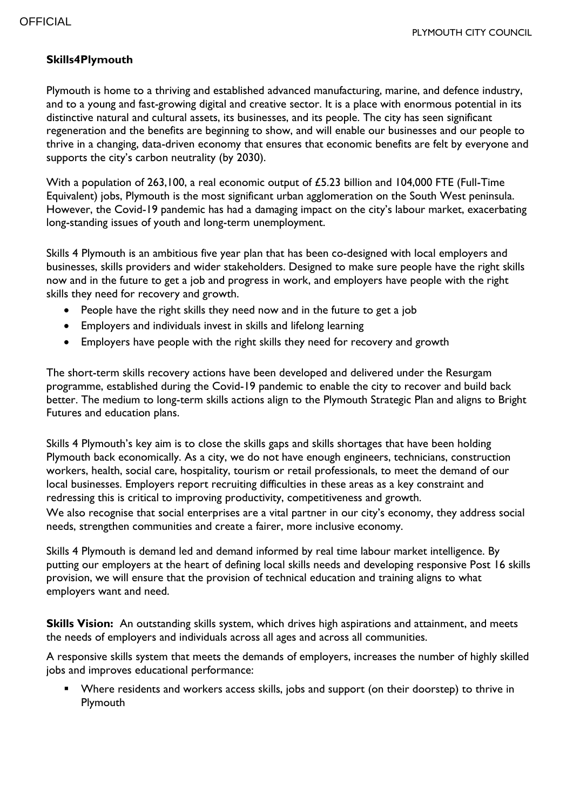# **Skills4Plymouth**

Plymouth is home to a thriving and established advanced manufacturing, marine, and defence industry, and to a young and fast-growing digital and creative sector. It is a place with enormous potential in its distinctive natural and cultural assets, its businesses, and its people. The city has seen significant regeneration and the benefits are beginning to show, and will enable our businesses and our people to thrive in a changing, data-driven economy that ensures that economic benefits are felt by everyone and supports the city's carbon neutrality (by 2030).

With a population of 263,100, a real economic output of £5.23 billion and 104,000 FTE (Full-Time Equivalent) jobs, Plymouth is the most significant urban agglomeration on the South West peninsula. However, the Covid-19 pandemic has had a damaging impact on the city's labour market, exacerbating long-standing issues of youth and long-term unemployment.

Skills 4 Plymouth is an ambitious five year plan that has been co-designed with local employers and businesses, skills providers and wider stakeholders. Designed to make sure people have the right skills now and in the future to get a job and progress in work, and employers have people with the right skills they need for recovery and growth.

- People have the right skills they need now and in the future to get a job
- Employers and individuals invest in skills and lifelong learning
- Employers have people with the right skills they need for recovery and growth

The short-term skills recovery actions have been developed and delivered under the Resurgam programme, established during the Covid-19 pandemic to enable the city to recover and build back better. The medium to long-term skills actions align to the Plymouth Strategic Plan and aligns to Bright Futures and education plans.

Skills 4 Plymouth's key aim is to close the skills gaps and skills shortages that have been holding Plymouth back economically. As a city, we do not have enough engineers, technicians, construction workers, health, social care, hospitality, tourism or retail professionals, to meet the demand of our local businesses. Employers report recruiting difficulties in these areas as a key constraint and redressing this is critical to improving productivity, competitiveness and growth.

We also recognise that social enterprises are a vital partner in our city's economy, they address social needs, strengthen communities and create a fairer, more inclusive economy.

Skills 4 Plymouth is demand led and demand informed by real time labour market intelligence. By putting our employers at the heart of defining local skills needs and developing responsive Post 16 skills provision, we will ensure that the provision of technical education and training aligns to what employers want and need.

**Skills Vision:** An outstanding skills system, which drives high aspirations and attainment, and meets the needs of employers and individuals across all ages and across all communities.

A responsive skills system that meets the demands of employers, increases the number of highly skilled jobs and improves educational performance:

 Where residents and workers access skills, jobs and support (on their doorstep) to thrive in Plymouth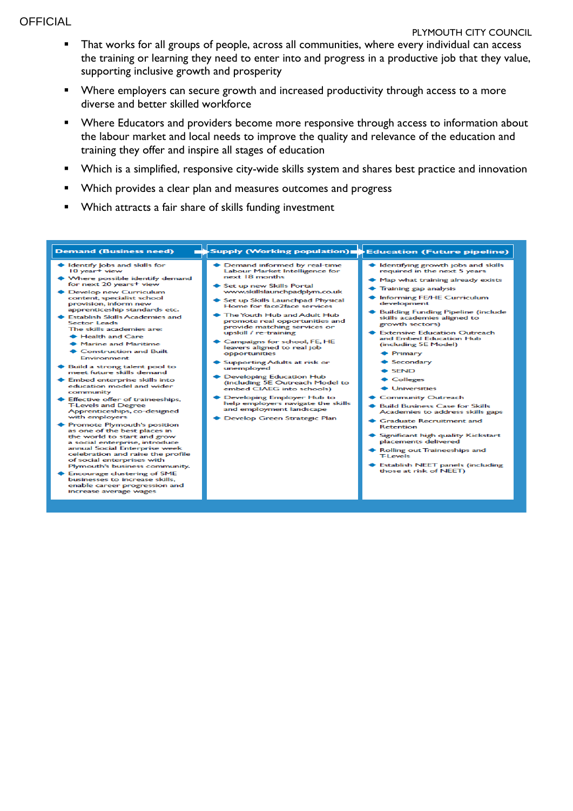**OFFICIAL** 

- **That works for all groups of people, across all communities, where every individual can access** the training or learning they need to enter into and progress in a productive job that they value, supporting inclusive growth and prosperity
- **Number 1** Where employers can secure growth and increased productivity through access to a more diverse and better skilled workforce
- **Number 4** Where Educators and providers become more responsive through access to information about the labour market and local needs to improve the quality and relevance of the education and training they offer and inspire all stages of education
- Which is a simplified, responsive city-wide skills system and shares best practice and innovation
- **Which provides a clear plan and measures outcomes and progress**
- Which attracts a fair share of skills funding investment

#### Supply (Working population) Education (Future pipeline) **Demand (Business need)** ◆ Demand informed by real-time<br>Labour Market Intelligence for ♦ Identifying growth jobs and skills<br>required in the next 5 years Identify Jobs and skills for 10 year Labour Market I<br>next 18 months Where possible identify demand<br>for next 20 years+ view ◆ Map what training already exists Set up new Skills Portal<br>www.skillslaunchpadplym.co.uk ← Training gap analysis Develop new Curriculum<br>content, specialist school ◆ Informing FE/HE Curriculum Set up Skills Launchpad Physical<br>Home for face2face services provision, inform new development apprenticeship standards etc. ◆ Building Funding Pipeline (include The Youth Hub and Adult Hub **Establish Skills Academies and** skills academies aligned to promote real opportunities and<br>provide matching services or<br>upskill / re-training **Sector Leads** growth sectors) The skills academies are: Extensive Education Outreach wpskin / re-training<br>
Campaigns for school, FE, HE<br>
leavers aligned to real job<br>
opportunities Health and Care and Embed Education Hub<br>(including 5E Model) Marine and Maritime Construction and Built  $\triangle$  Primary Environment ◆ Secondary  $\begin{array}{c} \bigstar \text{ Supporting Adults at risk or} \\ \text{unemployed} \end{array}$ ◆ Build a strong talent pool to<br>meet future skills demand  $\triangle$  SEND ◆ Developing Education Hub<br>(including 5E Outreach Model to<br>embed CIAEG into schools) ← Colleges ◆ Embed enterprise skills into education model and wider<br>community **Universities** Developing Employer Hub to Community Outreach

- Effective offer of traineeships,<br>T-Levels and Degree<br>Apprenticeships, co-designed<br>with employers
- Promote Plymouth's position<br>as one of the best places in<br>the world to start and grow a social enterprise, introduce<br>a social enterprise week<br>annual Social Enterprise week<br>celebration and raise the profile<br>of social enterprises with Plymouth's business community.
- Encourage clustering of SME<br>businesses to increase skills, enable career progression and<br>increase average wages
- help employers navigate the skills<br>and employment landscape
- Develop Green Strategic Plan
- ♦ Build Business Case for Skills<br>Academies to address skills gaps
- ◆ Graduate Recruitment and<br>Retention
- Significant high quality Kickstart placements delivered
- ◆ Rolling out Traineeships and<br>T-Levels
- ♦ Establish NEET panels (including<br>those at risk of NEET)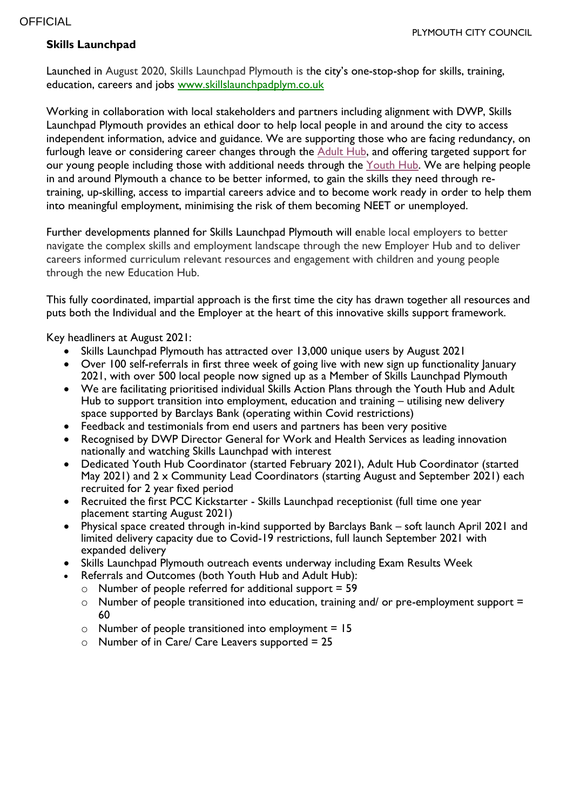# **Skills Launchpad**

Launched in August 2020, Skills Launchpad Plymouth is the city's one-stop-shop for skills, training, education, careers and jobs [www.skillslaunchpadplym.co.uk](https://eur02.safelinks.protection.outlook.com/?url=http%3A%2F%2Fwww.skillslaunchpadplym.co.uk%2F&data=04%7C01%7CEmma.Hewitt%40plymouth.gov.uk%7Cdf74e8f926674c12272408d93fd61ac8%7Ca9a3c3d1fc0f4943bc2ad73e388cc2df%7C0%7C0%7C637611011060759031%7CUnknown%7CTWFpbGZsb3d8eyJWIjoiMC4wLjAwMDAiLCJQIjoiV2luMzIiLCJBTiI6Ik1haWwiLCJXVCI6Mn0%3D%7C1000&sdata=wvsS46GkCbtC1yKiqDtwwa9NbAEMBy7Ai7adXpyLOQ8%3D&reserved=0)

Working in collaboration with local stakeholders and partners including alignment with DWP, Skills Launchpad Plymouth provides an ethical door to help local people in and around the city to access independent information, advice and guidance. We are supporting those who are facing redundancy, on furlough leave or considering career changes through the **[Adult](https://pccmarketing.wixsite.com/skillslaunchpadplym/adult-hub) Hub**, and offering targeted support for our young people including those with additional needs through the [Youth](https://pccmarketing.wixsite.com/skillslaunchpadplym/youth-hub) Hub. We are helping people in and around Plymouth a chance to be better informed, to gain the skills they need through retraining, up-skilling, access to impartial careers advice and to become work ready in order to help them into meaningful employment, minimising the risk of them becoming NEET or unemployed.

Further developments planned for Skills Launchpad Plymouth will enable local employers to better navigate the complex skills and employment landscape through the new Employer Hub and to deliver careers informed curriculum relevant resources and engagement with children and young people through the new Education Hub.

This fully coordinated, impartial approach is the first time the city has drawn together all resources and puts both the Individual and the Employer at the heart of this innovative skills support framework.

Key headliners at August 2021:

- Skills Launchpad Plymouth has attracted over 13,000 unique users by August 2021
- Over 100 self-referrals in first three week of going live with new sign up functionality lanuary 2021, with over 500 local people now signed up as a Member of Skills Launchpad Plymouth
- We are facilitating prioritised individual Skills Action Plans through the Youth Hub and Adult Hub to support transition into employment, education and training – utilising new delivery space supported by Barclays Bank (operating within Covid restrictions)
- Feedback and testimonials from end users and partners has been very positive
- Recognised by DWP Director General for Work and Health Services as leading innovation nationally and watching Skills Launchpad with interest
- Dedicated Youth Hub Coordinator (started February 2021), Adult Hub Coordinator (started May 2021) and 2 x Community Lead Coordinators (starting August and September 2021) each recruited for 2 year fixed period
- Recruited the first PCC Kickstarter Skills Launchpad receptionist (full time one year placement starting August 2021)
- Physical space created through in-kind supported by Barclays Bank soft launch April 2021 and limited delivery capacity due to Covid-19 restrictions, full launch September 2021 with expanded delivery
- Skills Launchpad Plymouth outreach events underway including Exam Results Week
- Referrals and Outcomes (both Youth Hub and Adult Hub):
	- $\circ$  Number of people referred for additional support = 59
	- $\circ$  Number of people transitioned into education, training and/ or pre-employment support = 60
	- $\circ$  Number of people transitioned into employment = 15
	- $\circ$  Number of in Care/ Care Leavers supported = 25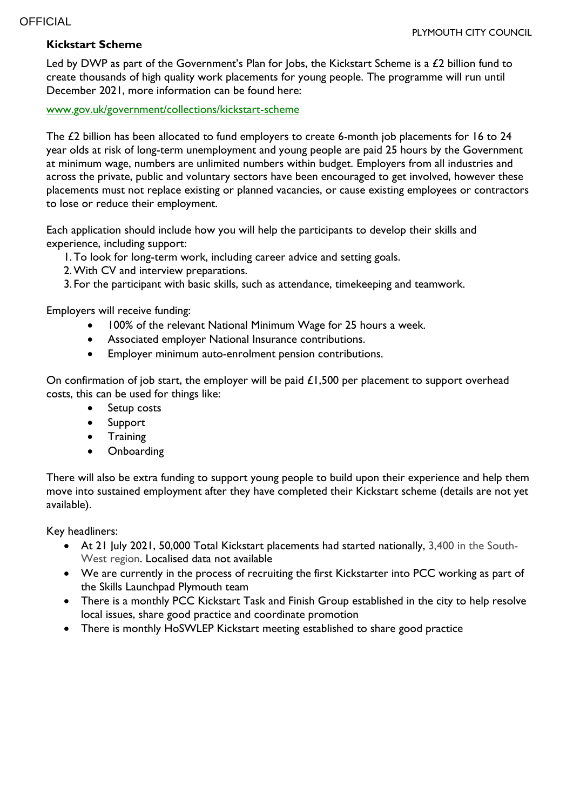## **Kickstart Scheme**

Led by DWP as part of the Government's Plan for Jobs, the Kickstart Scheme is a £2 billion fund to create thousands of high quality work placements for young people. The programme will run until December 2021, more information can be found here:

www.gov.uk/government/collections/kickstart-scheme

The £2 billion has been allocated to fund employers to create 6-month job placements for 16 to 24 year olds at risk of long-term unemployment and young people are paid 25 hours by the Government at minimum wage, numbers are unlimited numbers within budget. Employers from all industries and across the private, public and voluntary sectors have been encouraged to get involved, however these placements must not replace existing or planned vacancies, or cause existing employees or contractors to lose or reduce their employment.

Each application should include how you will help the participants to develop their skills and experience, including support:

- 1.To look for long-term work, including career advice and setting goals.
- 2.With CV and interview preparations.
- 3. For the participant with basic skills, such as attendance, timekeeping and teamwork.

Employers will receive funding:

- 100% of the relevant National Minimum Wage for 25 hours a week.
- Associated employer National Insurance contributions.
- Employer minimum auto-enrolment pension contributions.

On confirmation of job start, the employer will be paid  $£1,500$  per placement to support overhead costs, this can be used for things like:

- Setup costs
- Support
- **•** Training
- Onboarding

There will also be extra funding to support young people to build upon their experience and help them move into sustained employment after they have completed their Kickstart scheme (details are not yet available).

Key headliners:

- At 21 July 2021, 50,000 Total Kickstart placements had started nationally, 3,400 in the South-West region. Localised data not available
- We are currently in the process of recruiting the first Kickstarter into PCC working as part of the Skills Launchpad Plymouth team
- There is a monthly PCC Kickstart Task and Finish Group established in the city to help resolve local issues, share good practice and coordinate promotion
- There is monthly HoSWLEP Kickstart meeting established to share good practice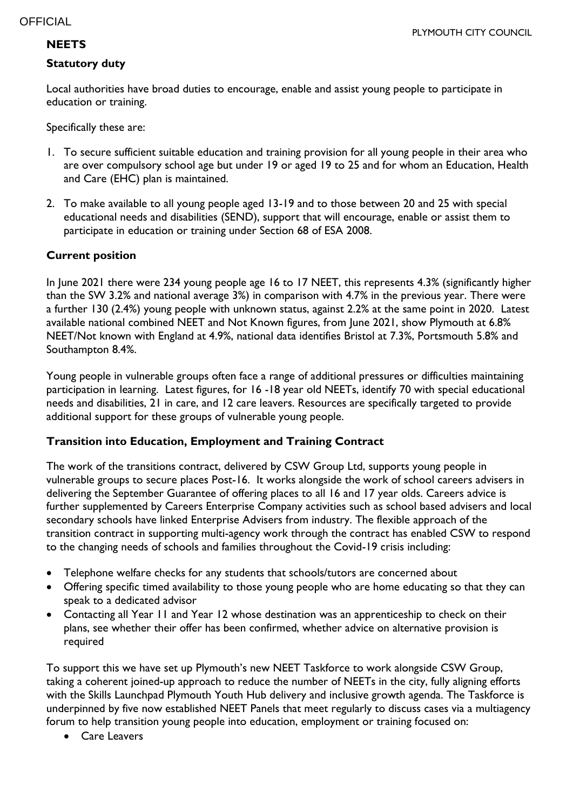# **NEETS**

## **Statutory duty**

Local authorities have broad duties to encourage, enable and assist young people to participate in education or training.

Specifically these are:

- 1. To secure sufficient suitable education and training provision for all young people in their area who are over compulsory school age but under 19 or aged 19 to 25 and for whom an Education, Health and Care (EHC) plan is maintained.
- 2. To make available to all young people aged 13-19 and to those between 20 and 25 with special educational needs and disabilities (SEND), support that will encourage, enable or assist them to participate in education or training under Section 68 of ESA 2008.

# **Current position**

In June 2021 there were 234 young people age 16 to 17 NEET, this represents 4.3% (significantly higher than the SW 3.2% and national average 3%) in comparison with 4.7% in the previous year. There were a further 130 (2.4%) young people with unknown status, against 2.2% at the same point in 2020. Latest available national combined NEET and Not Known figures, from June 2021, show Plymouth at 6.8% NEET/Not known with England at 4.9%, national data identifies Bristol at 7.3%, Portsmouth 5.8% and Southampton 8.4%.

Young people in vulnerable groups often face a range of additional pressures or difficulties maintaining participation in learning. Latest figures, for 16 -18 year old NEETs, identify 70 with special educational needs and disabilities, 21 in care, and 12 care leavers. Resources are specifically targeted to provide additional support for these groups of vulnerable young people.

### **Transition into Education, Employment and Training Contract**

The work of the transitions contract, delivered by CSW Group Ltd, supports young people in vulnerable groups to secure places Post-16. It works alongside the work of school careers advisers in delivering the September Guarantee of offering places to all 16 and 17 year olds. Careers advice is further supplemented by Careers Enterprise Company activities such as school based advisers and local secondary schools have linked Enterprise Advisers from industry. The flexible approach of the transition contract in supporting multi-agency work through the contract has enabled CSW to respond to the changing needs of schools and families throughout the Covid-19 crisis including:

- Telephone welfare checks for any students that schools/tutors are concerned about
- Offering specific timed availability to those young people who are home educating so that they can speak to a dedicated advisor
- Contacting all Year 11 and Year 12 whose destination was an apprenticeship to check on their plans, see whether their offer has been confirmed, whether advice on alternative provision is required

To support this we have set up Plymouth's new NEET Taskforce to work alongside CSW Group, taking a coherent joined-up approach to reduce the number of NEETs in the city, fully aligning efforts with the Skills Launchpad Plymouth Youth Hub delivery and inclusive growth agenda. The Taskforce is underpinned by five now established NEET Panels that meet regularly to discuss cases via a multiagency forum to help transition young people into education, employment or training focused on:

Care Leavers